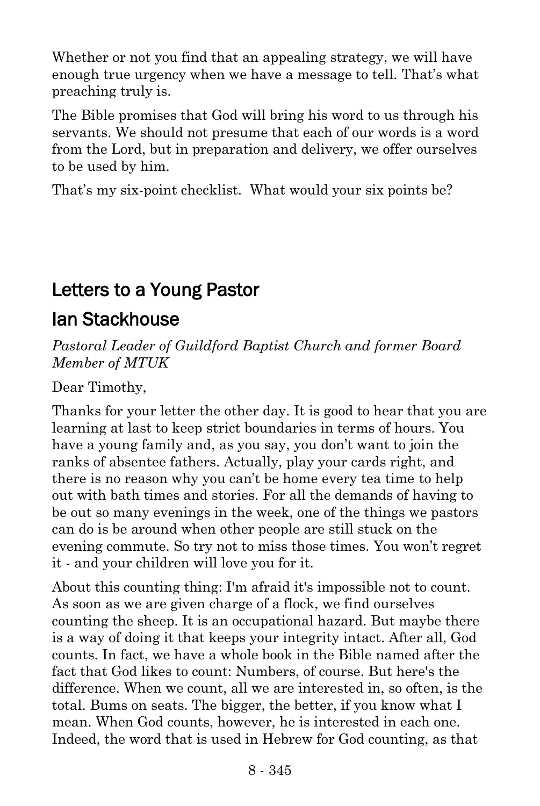Whether or not you find that an appealing strategy, we will have enough true urgency when we have a message to tell. That's what preaching truly is.

The Bible promises that God will bring his word to us through his servants. We should not presume that each of our words is a word from the Lord, but in preparation and delivery, we offer ourselves to be used by him.

That's my six-point checklist. What would your six points be?

## Letters to a Young Pastor

## Ian Stackhouse

*Pastoral Leader of Guildford Baptist Church and former Board Member of MTUK*

Dear Timothy,

Thanks for your letter the other day. It is good to hear that you are learning at last to keep strict boundaries in terms of hours. You have a young family and, as you say, you don't want to join the ranks of absentee fathers. Actually, play your cards right, and there is no reason why you can't be home every tea time to help out with bath times and stories. For all the demands of having to be out so many evenings in the week, one of the things we pastors can do is be around when other people are still stuck on the evening commute. So try not to miss those times. You won't regret it - and your children will love you for it.

About this counting thing: I'm afraid it's impossible not to count. As soon as we are given charge of a flock, we find ourselves counting the sheep. It is an occupational hazard. But maybe there is a way of doing it that keeps your integrity intact. After all, God counts. In fact, we have a whole book in the Bible named after the fact that God likes to count: Numbers, of course. But here's the difference. When we count, all we are interested in, so often, is the total. Bums on seats. The bigger, the better, if you know what I mean. When God counts, however, he is interested in each one. Indeed, the word that is used in Hebrew for God counting, as that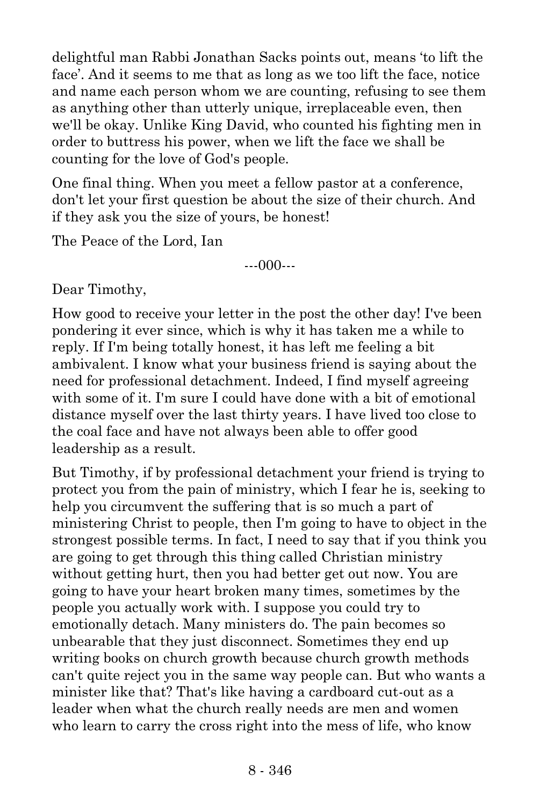delightful man Rabbi Jonathan Sacks points out, means 'to lift the face'. And it seems to me that as long as we too lift the face, notice and name each person whom we are counting, refusing to see them as anything other than utterly unique, irreplaceable even, then we'll be okay. Unlike King David, who counted his fighting men in order to buttress his power, when we lift the face we shall be counting for the love of God's people.

One final thing. When you meet a fellow pastor at a conference, don't let your first question be about the size of their church. And if they ask you the size of yours, be honest!

The Peace of the Lord, Ian

---000---

Dear Timothy,

How good to receive your letter in the post the other day! I've been pondering it ever since, which is why it has taken me a while to reply. If I'm being totally honest, it has left me feeling a bit ambivalent. I know what your business friend is saying about the need for professional detachment. Indeed, I find myself agreeing with some of it. I'm sure I could have done with a bit of emotional distance myself over the last thirty years. I have lived too close to the coal face and have not always been able to offer good leadership as a result.

But Timothy, if by professional detachment your friend is trying to protect you from the pain of ministry, which I fear he is, seeking to help you circumvent the suffering that is so much a part of ministering Christ to people, then I'm going to have to object in the strongest possible terms. In fact, I need to say that if you think you are going to get through this thing called Christian ministry without getting hurt, then you had better get out now. You are going to have your heart broken many times, sometimes by the people you actually work with. I suppose you could try to emotionally detach. Many ministers do. The pain becomes so unbearable that they just disconnect. Sometimes they end up writing books on church growth because church growth methods can't quite reject you in the same way people can. But who wants a minister like that? That's like having a cardboard cut-out as a leader when what the church really needs are men and women who learn to carry the cross right into the mess of life, who know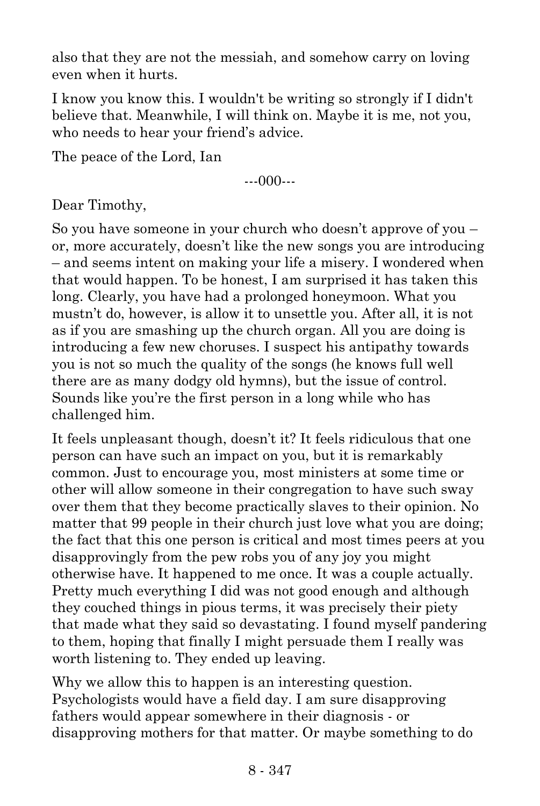also that they are not the messiah, and somehow carry on loving even when it hurts.

I know you know this. I wouldn't be writing so strongly if I didn't believe that. Meanwhile, I will think on. Maybe it is me, not you, who needs to hear your friend's advice.

The peace of the Lord, Ian

---000---

Dear Timothy,

So you have someone in your church who doesn't approve of you – or, more accurately, doesn't like the new songs you are introducing – and seems intent on making your life a misery. I wondered when that would happen. To be honest, I am surprised it has taken this long. Clearly, you have had a prolonged honeymoon. What you mustn't do, however, is allow it to unsettle you. After all, it is not as if you are smashing up the church organ. All you are doing is introducing a few new choruses. I suspect his antipathy towards you is not so much the quality of the songs (he knows full well there are as many dodgy old hymns), but the issue of control. Sounds like you're the first person in a long while who has challenged him.

It feels unpleasant though, doesn't it? It feels ridiculous that one person can have such an impact on you, but it is remarkably common. Just to encourage you, most ministers at some time or other will allow someone in their congregation to have such sway over them that they become practically slaves to their opinion. No matter that 99 people in their church just love what you are doing; the fact that this one person is critical and most times peers at you disapprovingly from the pew robs you of any joy you might otherwise have. It happened to me once. It was a couple actually. Pretty much everything I did was not good enough and although they couched things in pious terms, it was precisely their piety that made what they said so devastating. I found myself pandering to them, hoping that finally I might persuade them I really was worth listening to. They ended up leaving.

Why we allow this to happen is an interesting question. Psychologists would have a field day. I am sure disapproving fathers would appear somewhere in their diagnosis - or disapproving mothers for that matter. Or maybe something to do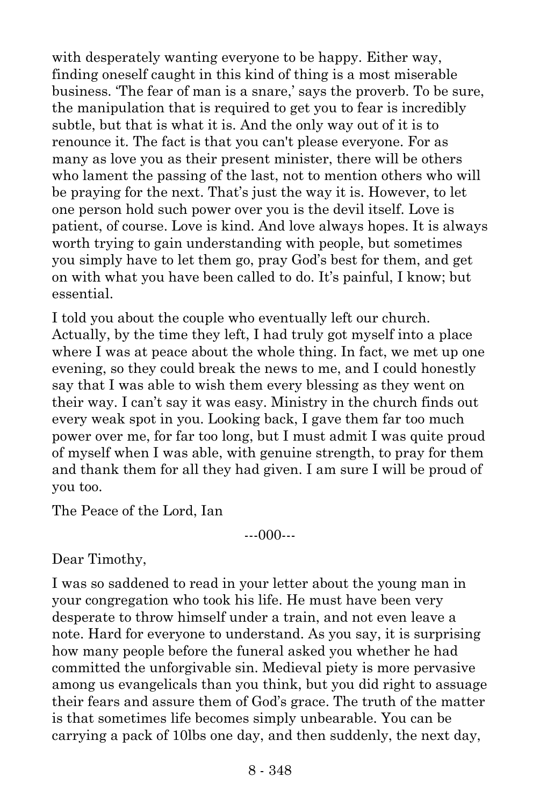with desperately wanting everyone to be happy. Either way, finding oneself caught in this kind of thing is a most miserable business. 'The fear of man is a snare,' says the proverb. To be sure, the manipulation that is required to get you to fear is incredibly subtle, but that is what it is. And the only way out of it is to renounce it. The fact is that you can't please everyone. For as many as love you as their present minister, there will be others who lament the passing of the last, not to mention others who will be praying for the next. That's just the way it is. However, to let one person hold such power over you is the devil itself. Love is patient, of course. Love is kind. And love always hopes. It is always worth trying to gain understanding with people, but sometimes you simply have to let them go, pray God's best for them, and get on with what you have been called to do. It's painful, I know; but essential.

I told you about the couple who eventually left our church. Actually, by the time they left, I had truly got myself into a place where I was at peace about the whole thing. In fact, we met up one evening, so they could break the news to me, and I could honestly say that I was able to wish them every blessing as they went on their way. I can't say it was easy. Ministry in the church finds out every weak spot in you. Looking back, I gave them far too much power over me, for far too long, but I must admit I was quite proud of myself when I was able, with genuine strength, to pray for them and thank them for all they had given. I am sure I will be proud of you too.

The Peace of the Lord, Ian

---000---

Dear Timothy,

I was so saddened to read in your letter about the young man in your congregation who took his life. He must have been very desperate to throw himself under a train, and not even leave a note. Hard for everyone to understand. As you say, it is surprising how many people before the funeral asked you whether he had committed the unforgivable sin. Medieval piety is more pervasive among us evangelicals than you think, but you did right to assuage their fears and assure them of God's grace. The truth of the matter is that sometimes life becomes simply unbearable. You can be carrying a pack of 10lbs one day, and then suddenly, the next day,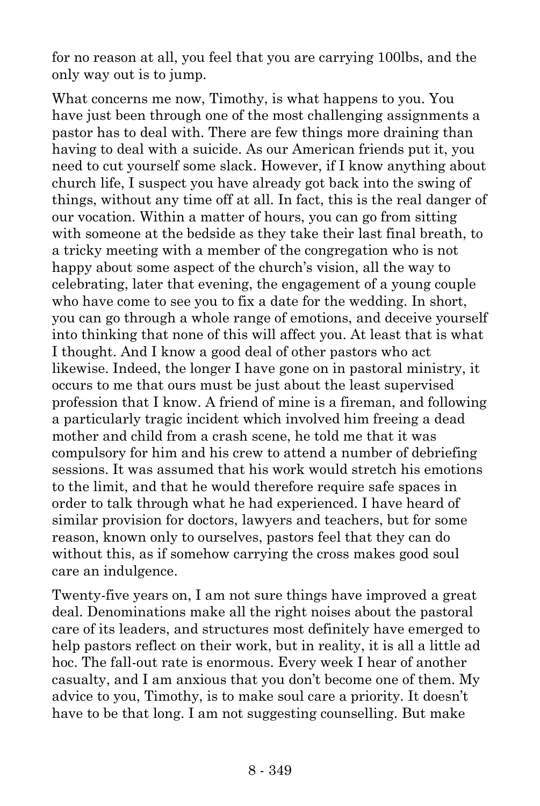for no reason at all, you feel that you are carrying 100lbs, and the only way out is to jump.

What concerns me now, Timothy, is what happens to you. You have just been through one of the most challenging assignments a pastor has to deal with. There are few things more draining than having to deal with a suicide. As our American friends put it, you need to cut yourself some slack. However, if I know anything about church life, I suspect you have already got back into the swing of things, without any time off at all. In fact, this is the real danger of our vocation. Within a matter of hours, you can go from sitting with someone at the bedside as they take their last final breath, to a tricky meeting with a member of the congregation who is not happy about some aspect of the church's vision, all the way to celebrating, later that evening, the engagement of a young couple who have come to see you to fix a date for the wedding. In short, you can go through a whole range of emotions, and deceive yourself into thinking that none of this will affect you. At least that is what I thought. And I know a good deal of other pastors who act likewise. Indeed, the longer I have gone on in pastoral ministry, it occurs to me that ours must be just about the least supervised profession that I know. A friend of mine is a fireman, and following a particularly tragic incident which involved him freeing a dead mother and child from a crash scene, he told me that it was compulsory for him and his crew to attend a number of debriefing sessions. It was assumed that his work would stretch his emotions to the limit, and that he would therefore require safe spaces in order to talk through what he had experienced. I have heard of similar provision for doctors, lawyers and teachers, but for some reason, known only to ourselves, pastors feel that they can do without this, as if somehow carrying the cross makes good soul care an indulgence.

Twenty-five years on, I am not sure things have improved a great deal. Denominations make all the right noises about the pastoral care of its leaders, and structures most definitely have emerged to help pastors reflect on their work, but in reality, it is all a little ad hoc. The fall-out rate is enormous. Every week I hear of another casualty, and I am anxious that you don't become one of them. My advice to you, Timothy, is to make soul care a priority. It doesn't have to be that long. I am not suggesting counselling. But make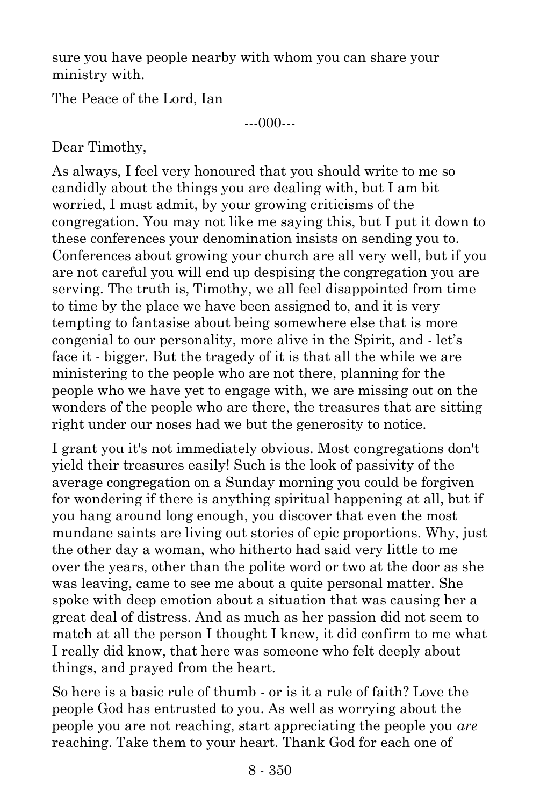sure you have people nearby with whom you can share your ministry with.

The Peace of the Lord, Ian

---000---

Dear Timothy,

As always, I feel very honoured that you should write to me so candidly about the things you are dealing with, but I am bit worried, I must admit, by your growing criticisms of the congregation. You may not like me saying this, but I put it down to these conferences your denomination insists on sending you to. Conferences about growing your church are all very well, but if you are not careful you will end up despising the congregation you are serving. The truth is, Timothy, we all feel disappointed from time to time by the place we have been assigned to, and it is very tempting to fantasise about being somewhere else that is more congenial to our personality, more alive in the Spirit, and - let's face it - bigger. But the tragedy of it is that all the while we are ministering to the people who are not there, planning for the people who we have yet to engage with, we are missing out on the wonders of the people who are there, the treasures that are sitting right under our noses had we but the generosity to notice.

I grant you it's not immediately obvious. Most congregations don't yield their treasures easily! Such is the look of passivity of the average congregation on a Sunday morning you could be forgiven for wondering if there is anything spiritual happening at all, but if you hang around long enough, you discover that even the most mundane saints are living out stories of epic proportions. Why, just the other day a woman, who hitherto had said very little to me over the years, other than the polite word or two at the door as she was leaving, came to see me about a quite personal matter. She spoke with deep emotion about a situation that was causing her a great deal of distress. And as much as her passion did not seem to match at all the person I thought I knew, it did confirm to me what I really did know, that here was someone who felt deeply about things, and prayed from the heart.

So here is a basic rule of thumb - or is it a rule of faith? Love the people God has entrusted to you. As well as worrying about the people you are not reaching, start appreciating the people you *are* reaching. Take them to your heart. Thank God for each one of